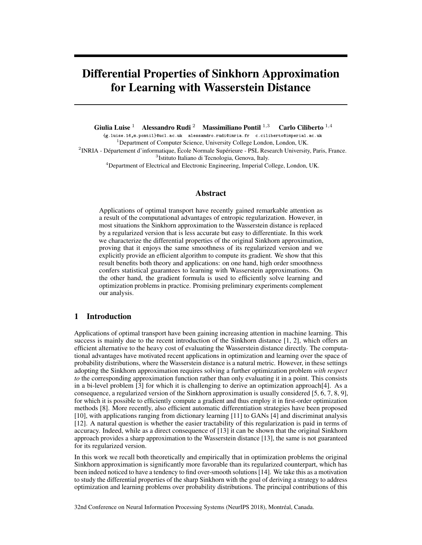# Differential Properties of Sinkhorn Approximation for Learning with Wasserstein Distance

Giulia Luise <sup>1</sup> Alessandro Rudi <sup>2</sup> Massimiliano Pontil <sup>1,3</sup> Carlo Ciliberto <sup>1,4</sup>

{g.luise.16,m.pontil}@ucl.ac.uk alessandro.rudi@inria.fr c.ciliberto@imperial.ac.uk <sup>1</sup>Department of Computer Science, University College London, London, UK. 2 INRIA - Département d'informatique, École Normale Supérieure - PSL Research University, Paris, France. 3 Istituto Italiano di Tecnologia, Genova, Italy. <sup>4</sup>Department of Electrical and Electronic Engineering, Imperial College, London, UK.

# Abstract

Applications of optimal transport have recently gained remarkable attention as a result of the computational advantages of entropic regularization. However, in most situations the Sinkhorn approximation to the Wasserstein distance is replaced by a regularized version that is less accurate but easy to differentiate. In this work we characterize the differential properties of the original Sinkhorn approximation, proving that it enjoys the same smoothness of its regularized version and we explicitly provide an efficient algorithm to compute its gradient. We show that this result benefits both theory and applications: on one hand, high order smoothness confers statistical guarantees to learning with Wasserstein approximations. On the other hand, the gradient formula is used to efficiently solve learning and optimization problems in practice. Promising preliminary experiments complement our analysis.

## 1 Introduction

Applications of optimal transport have been gaining increasing attention in machine learning. This success is mainly due to the recent introduction of the Sinkhorn distance [1, 2], which offers an efficient alternative to the heavy cost of evaluating the Wasserstein distance directly. The computational advantages have motivated recent applications in optimization and learning over the space of probability distributions, where the Wasserstein distance is a natural metric. However, in these settings adopting the Sinkhorn approximation requires solving a further optimization problem *with respect to* the corresponding approximation function rather than only evaluating it in a point. This consists in a bi-level problem [3] for which it is challenging to derive an optimization approach[4]. As a consequence, a regularized version of the Sinkhorn approximation is usually considered [5, 6, 7, 8, 9], for which it is possible to efficiently compute a gradient and thus employ it in first-order optimization methods [8]. More recently, also efficient automatic differentiation strategies have been proposed [10], with applications ranging from dictionary learning [11] to GANs [4] and discriminat analysis [12]. A natural question is whether the easier tractability of this regularization is paid in terms of accuracy. Indeed, while as a direct consequence of [13] it can be shown that the original Sinkhorn approach provides a sharp approximation to the Wasserstein distance [13], the same is not guaranteed for its regularized version.

In this work we recall both theoretically and empirically that in optimization problems the original Sinkhorn approximation is significantly more favorable than its regularized counterpart, which has been indeed noticed to have a tendency to find over-smooth solutions [14]. We take this as a motivation to study the differential properties of the sharp Sinkhorn with the goal of deriving a strategy to address optimization and learning problems over probability distributions. The principal contributions of this

32nd Conference on Neural Information Processing Systems (NeurIPS 2018), Montréal, Canada.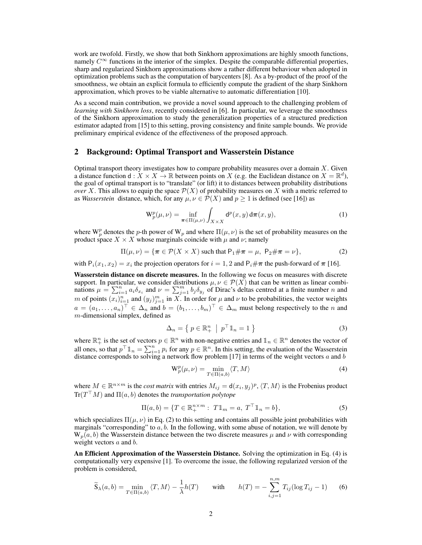work are twofold. Firstly, we show that both Sinkhorn approximations are highly smooth functions, namely  $C^{\infty}$  functions in the interior of the simplex. Despite the comparable differential properties, sharp and regularized Sinkhorn approximations show a rather different behaviour when adopted in optimization problems such as the computation of barycenters [8]. As a by-product of the proof of the smoothness, we obtain an explicit formula to efficiently compute the gradient of the sharp Sinkhorn approximation, which proves to be viable alternative to automatic differentiation [10].

As a second main contribution, we provide a novel sound approach to the challenging problem of *learning with Sinkhorn loss, recently considered in [6]. In particular, we leverage the smoothness* of the Sinkhorn approximation to study the generalization properties of a structured prediction estimator adapted from [15] to this setting, proving consistency and finite sample bounds. We provide preliminary empirical evidence of the effectiveness of the proposed approach.

#### 2 Background: Optimal Transport and Wasserstein Distance

Optimal transport theory investigates how to compare probability measures over a domain  $X$ . Given a distance function  $d: X \times X \to \mathbb{R}$  between points on X (e.g. the Euclidean distance on  $X = \mathbb{R}^d$ ), the goal of optimal transport is to "translate" (or lift) it to distances between probability distributions *over* X. This allows to equip the space  $P(X)$  of probability measures on X with a metric referred to as *Wasserstein* distance, which, for any  $\mu, \nu \in \mathcal{P}(X)$  and  $p \ge 1$  is defined (see [16]) as

$$
\mathbf{W}_p^p(\mu,\nu) = \inf_{\boldsymbol{\pi} \in \Pi(\mu,\nu)} \int_{X \times X} \mathsf{d}^p(x,y) \, \mathsf{d}\boldsymbol{\pi}(x,y),\tag{1}
$$

where W<sub>p</sub> denotes the p-th power of W<sub>p</sub> and where  $\Pi(\mu, \nu)$  is the set of probability measures on the product space  $X \times X$  whose marginals coincide with  $\mu$  and  $\nu$ ; namely

$$
\Pi(\mu,\nu) = \{\boldsymbol{\pi} \in \mathcal{P}(X \times X) \text{ such that } \mathsf{P}_1 \# \boldsymbol{\pi} = \mu, \ \mathsf{P}_2 \# \boldsymbol{\pi} = \nu\},\tag{2}
$$

with  $P_i(x_1, x_2) = x_i$  the projection operators for  $i = 1, 2$  and  $P_i \# \pi$  the push-forward of  $\pi$  [16].

Wasserstein distance on discrete measures. In the following we focus on measures with discrete support. In particular, we consider distributions  $\mu, \nu \in \mathcal{P}(X)$  that can be written as linear combinations  $\mu = \sum_{i=1}^{n} a_i \delta_{x_i}$  and  $\nu = \sum_{j=1}^{m} b_j \delta_{y_j}$  of Dirac's deltas centred at a finite number *n* and *m* of points  $(x_i)_{i=1}^n$  and  $(y_j)_{j=1}^m$  in X. In order for  $\mu$  and  $\nu$  to be probabilities, the vector weights  $a = (a_1, \ldots, a_n)^{\top} \in \Delta_n$  and  $b = (b_1, \ldots, b_m)^{\top} \in \Delta_m$  must belong respectively to the n and m-dimensional simplex, defined as

$$
\Delta_n = \left\{ \ p \in \mathbb{R}_+^n \ \middle| \ p^\top \mathbb{1}_n = 1 \right\} \tag{3}
$$

where  $\mathbb{R}^n_+$  is the set of vectors  $p \in \mathbb{R}^n$  with non-negative entries and  $\mathbb{1}_n \in \mathbb{R}^n$  denotes the vector of all ones, so that  $p^{\top} \mathbb{1}_n = \sum_{i=1}^n p_i$  for any  $p \in \mathbb{R}^n$ . In this setting, the evaluation of the Wasserstein distance corresponds to solving a network flow problem [17] in terms of the weight vectors  $a$  and  $b$ 

$$
\mathbf{W}_p^p(\mu, \nu) = \min_{T \in \Pi(a, b)} \langle T, M \rangle \tag{4}
$$

where  $M \in \mathbb{R}^{n \times m}$  is the *cost matrix* with entries  $M_{ij} = d(x_i, y_j)^p$ ,  $\langle T, M \rangle$  is the Frobenius product  $Tr(T^{\perp}M)$  and  $\Pi(a, b)$  denotes the *transportation polytope* 

$$
\Pi(a, b) = \{ T \in \mathbb{R}_+^{n \times m} : T \mathbb{1}_m = a, T^\top \mathbb{1}_n = b \},
$$
\n(5)

which specializes  $\Pi(\mu, \nu)$  in Eq. (2) to this setting and contains all possible joint probabilities with marginals "corresponding" to  $a, b$ . In the following, with some abuse of notation, we will denote by  $W_p(a, b)$  the Wasserstein distance between the two discrete measures  $\mu$  and  $\nu$  with corresponding weight vectors  $a$  and  $b$ .

An Efficient Approximation of the Wasserstein Distance. Solving the optimization in Eq. (4) is computationally very expensive [1]. To overcome the issue, the following regularized version of the problem is considered,

$$
\widetilde{S}_{\lambda}(a,b) = \min_{T \in \Pi(a,b)} \langle T, M \rangle - \frac{1}{\lambda} h(T) \quad \text{with} \quad h(T) = -\sum_{i,j=1}^{n,m} T_{ij} (\log T_{ij} - 1) \quad (6)
$$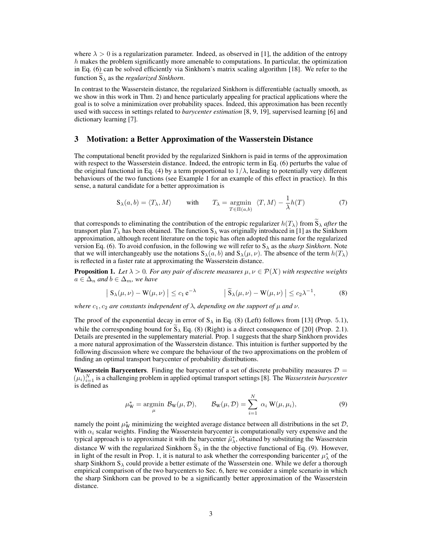where  $\lambda > 0$  is a regularization parameter. Indeed, as observed in [1], the addition of the entropy  $h$  makes the problem significantly more amenable to computations. In particular, the optimization in Eq. (6) can be solved efficiently via Sinkhorn's matrix scaling algorithm [18]. We refer to the function  $S_{\lambda}$  as the *regularized Sinkhorn*.

In contrast to the Wasserstein distance, the regularized Sinkhorn is differentiable (actually smooth, as we show in this work in Thm. 2) and hence particularly appealing for practical applications where the goal is to solve a minimization over probability spaces. Indeed, this approximation has been recently used with success in settings related to *barycenter estimation* [8, 9, 19], supervised learning [6] and dictionary learning [7].

#### 3 Motivation: a Better Approximation of the Wasserstein Distance

The computational benefit provided by the regularized Sinkhorn is paid in terms of the approximation with respect to the Wasserstein distance. Indeed, the entropic term in Eq. (6) perturbs the value of the original functional in Eq. (4) by a term proportional to  $1/\lambda$ , leading to potentially very different behaviours of the two functions (see Example 1 for an example of this effect in practice). In this sense, a natural candidate for a better approximation is

$$
\mathbf{S}_{\lambda}(a,b) = \langle T_{\lambda}, M \rangle \quad \text{with} \quad T_{\lambda} = \underset{T \in \Pi(a,b)}{\operatorname{argmin}} \langle T, M \rangle - \frac{1}{\lambda} h(T) \tag{7}
$$

that corresponds to eliminating the contribution of the entropic regularizer  $h(T_\lambda)$  from  $S_\lambda$  *after* the transport plan  $T_{\lambda}$  has been obtained. The function  $S_{\lambda}$  was originally introduced in [1] as the Sinkhorn approximation, although recent literature on the topic has often adopted this name for the regularized version Eq. (6). To avoid confusion, in the following we will refer to  $S_\lambda$  as the *sharp Sinkhorn*. Note that we will interchangeably use the notations  $S_\lambda(a, b)$  and  $S_\lambda(\mu, \nu)$ . The absence of the term  $h(T_\lambda)$ is reflected in a faster rate at approximating the Wasserstein distance.

**Proposition 1.** Let  $\lambda > 0$ . For any pair of discrete measures  $\mu, \nu \in \mathcal{P}(X)$  with respective weights  $a \in \Delta_n$  *and*  $b \in \Delta_m$ *, we have* 

$$
\left| \mathbf{S}_{\lambda}(\mu, \nu) - \mathbf{W}(\mu, \nu) \right| \le c_1 e^{-\lambda} \qquad \left| \widetilde{\mathbf{S}}_{\lambda}(\mu, \nu) - \mathbf{W}(\mu, \nu) \right| \le c_2 \lambda^{-1}, \qquad (8)
$$

*where*  $c_1$ ,  $c_2$  *are constants independent of*  $\lambda$ , *depending on the support of*  $\mu$  *and*  $\nu$ *.* 

The proof of the exponential decay in error of  $S_\lambda$  in Eq. (8) (Left) follows from [13] (Prop. 5.1), while the corresponding bound for  $\tilde{S}_{\lambda}$  Eq. (8) (Right) is a direct consequence of [20] (Prop. 2.1). Details are presented in the supplementary material. Prop. 1 suggests that the sharp Sinkhorn provides a more natural approximation of the Wasserstein distance. This intuition is further supported by the following discussion where we compare the behaviour of the two approximations on the problem of finding an optimal transport barycenter of probability distributions.

Wasserstein Barycenters. Finding the barycenter of a set of discrete probability measures  $D =$  $(\mu_i)_{i=1}^N$  is a challenging problem in applied optimal transport settings [8]. The *Wasserstein barycenter* is defined as

$$
\mu_{\mathbf{W}}^* = \underset{\mu}{\text{argmin}} \ \mathcal{B}_{\mathbf{W}}(\mu, \mathcal{D}), \qquad \mathcal{B}_{\mathbf{W}}(\mu, \mathcal{D}) = \sum_{i=1}^N \ \alpha_i \ \mathbf{W}(\mu, \mu_i), \tag{9}
$$

namely the point  $\mu^*_{\rm W}$  minimizing the weighted average distance between all distributions in the set  $\mathcal{D}$ , with  $\alpha_i$  scalar weights. Finding the Wasserstein barycenter is computationally very expensive and the typical approach is to approximate it with the barycenter  $\tilde{\mu}^*_{\lambda}$ , obtained by substituting the Wasserstein distance W with the regularized Sinkhorn  $S_{\lambda}$  in the the objective functional of Eq. (9). However, in light of the result in Prop. 1, it is natural to ask whether the corresponding baricenter  $\mu^*_{\lambda}$  of the sharp Sinkhorn  $S_\lambda$  could provide a better estimate of the Wasserstein one. While we defer a thorough empirical comparison of the two barycenters to Sec. 6, here we consider a simple scenario in which the sharp Sinkhorn can be proved to be a significantly better approximation of the Wasserstein distance.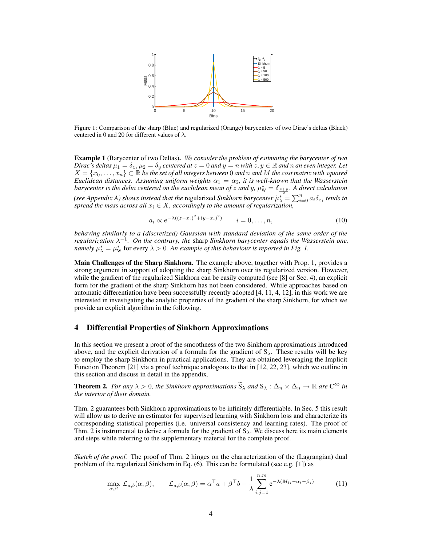

Figure 1: Comparison of the sharp (Blue) and regularized (Orange) barycenters of two Dirac's deltas (Black) centered in 0 and 20 for different values of  $\lambda$ .

Example 1 (Barycenter of two Deltas). *We consider the problem of estimating the barycenter of two Dirac's deltas*  $\mu_1 = \delta_z$ ,  $\mu_2 = \delta_y$  *centered at*  $z = 0$  *and*  $y = n$  *with*  $z, y \in \mathbb{R}$  *and n an even integer. Let*  $X = \{x_0, \ldots, x_n\} \subset \mathbb{R}$  *be the set of all integers between* 0 *and* n *and* M *the cost matrix with squared Euclidean distances. Assuming uniform weights*  $\alpha_1 = \alpha_2$ , *it is well-known that the Wasserstein barycenter is the delta centered on the euclidean mean of z and y,*  $\mu^*_W = \delta_{\frac{z+y}{2}}$ . A direct calculation *(see Appendix A) shows instead that the regularized Sinkhorn barycenter*  $\tilde{\mu}_{\lambda}^* = \sum_{i=0}^n a_i \delta_{x_i}$  *tends to spread the mass across all*  $x_i \in X$ , accordingly to the amount of regularization,

$$
a_i \propto e^{-\lambda((z-x_i)^2 + (y-x_i)^2)} \qquad i = 0, \dots, n,
$$
 (10)

*behaving similarly to a (discretized) Gaussian with standard deviation of the same order of the regularization*  $\lambda^{-1}$ . On the contrary, the sharp Sinkhorn barycenter equals the Wasserstein one, *namely*  $\mu_{\lambda}^{*} = \mu_{\text{W}}^{*}$  for every  $\lambda > 0$ . An example of this behaviour is reported in Fig. 1.

Main Challenges of the Sharp Sinkhorn. The example above, together with Prop. 1, provides a strong argument in support of adopting the sharp Sinkhorn over its regularized version. However, while the gradient of the regularized Sinkhorn can be easily computed (see [8] or Sec. 4), an explicit form for the gradient of the sharp Sinkhorn has not been considered. While approaches based on automatic differentiation have been successfully recently adopted [4, 11, 4, 12], in this work we are interested in investigating the analytic properties of the gradient of the sharp Sinkhorn, for which we provide an explicit algorithm in the following.

### 4 Differential Properties of Sinkhorn Approximations

In this section we present a proof of the smoothness of the two Sinkhorn approximations introduced above, and the explicit derivation of a formula for the gradient of  $S_\lambda$ . These results will be key to employ the sharp Sinkhorn in practical applications. They are obtained leveraging the Implicit Function Theorem [21] via a proof technique analogous to that in [12, 22, 23], which we outline in this section and discuss in detail in the appendix.

**Theorem 2.** *For any*  $\lambda > 0$ *, the Sinkhorn approximations*  $S_{\lambda}$  *and*  $S_{\lambda}$  :  $\Delta_n \times \Delta_n \to \mathbb{R}$  *are*  $C^{\infty}$  *in the interior of their domain.*

Thm. 2 guarantees both Sinkhorn approximations to be infinitely differentiable. In Sec. 5 this result will allow us to derive an estimator for supervised learning with Sinkhorn loss and characterize its corresponding statistical properties (i.e. universal consistency and learning rates). The proof of Thm. 2 is instrumental to derive a formula for the gradient of  $S_{\lambda}$ . We discuss here its main elements and steps while referring to the supplementary material for the complete proof.

*Sketch of the proof.* The proof of Thm. 2 hinges on the characterization of the (Lagrangian) dual problem of the regularized Sinkhorn in Eq. (6). This can be formulated (see e.g. [1]) as

$$
\max_{\alpha,\beta} \mathcal{L}_{a,b}(\alpha,\beta), \qquad \mathcal{L}_{a,b}(\alpha,\beta) = \alpha^{\top} a + \beta^{\top} b - \frac{1}{\lambda} \sum_{i,j=1}^{n,m} e^{-\lambda(M_{ij} - \alpha_i - \beta_j)}
$$
(11)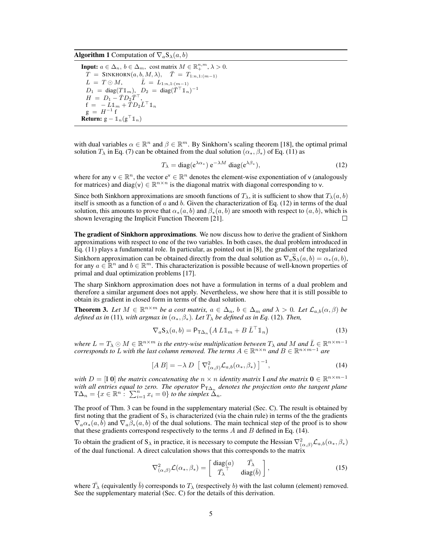**Algorithm 1** Computation of  $\nabla_a \mathbf{S}_{\lambda}(a, b)$ 

**Input:**  $a \in \Delta_n$ ,  $b \in \Delta_m$ , cost matrix  $M \in \mathbb{R}_+^{n,m}$ ,  $\lambda > 0$ .  $T = \text{SINKHORN}(a, b, M, \lambda), \quad \overline{T} = T_{1:n,1:(m-1)}$  $L = T \odot M, \qquad \bar{L} = L_{1:n,1:(m-1)}$  $D_1 = \text{diag}(T \mathbb{1}_m), \ D_2 = \text{diag}(\bar{T}^\top \mathbb{1}_n)^{-1}$  $H = D_1 - \bar{T} D_2 \bar{T}^\top,$  $f = -L\mathbb{1}_m + \overline{T}D_2\overline{L}^\top\mathbb{1}_n$  $g = H^{-1}$  f **Return:**  $g - \mathbb{1}_n(g^{\top} \mathbb{1}_n)$ 

with dual variables  $\alpha \in \mathbb{R}^n$  and  $\beta \in \mathbb{R}^m$ . By Sinkhorn's scaling theorem [18], the optimal primal solution  $T_{\lambda}$  in Eq. (7) can be obtained from the dual solution  $(\alpha_*, \beta_*)$  of Eq. (11) as

$$
T_{\lambda} = \text{diag}(e^{\lambda \alpha_*}) e^{-\lambda M} \text{ diag}(e^{\lambda \beta_*}), \qquad (12)
$$

where for any  $v \in \mathbb{R}^n$ , the vector  $e^v \in \mathbb{R}^n$  denotes the element-wise exponentiation of v (analogously for matrices) and diag(v)  $\in \mathbb{R}^{n \times n}$  is the diagonal matrix with diagonal corresponding to v.

Since both Sinkhorn approximations are smooth functions of  $T_{\lambda}$ , it is sufficient to show that  $T_{\lambda}(a, b)$ itself is smooth as a function of  $a$  and  $b$ . Given the characterization of Eq. (12) in terms of the dual solution, this amounts to prove that  $\alpha_*(a, b)$  and  $\beta_*(a, b)$  are smooth with respect to  $(a, b)$ , which is shown leveraging the Implicit Function Theorem [21] shown leveraging the Implicit Function Theorem [21].

The gradient of Sinkhorn approximations. We now discuss how to derive the gradient of Sinkhorn approximations with respect to one of the two variables. In both cases, the dual problem introduced in Eq. (11) plays a fundamental role. In particular, as pointed out in [8], the gradient of the regularized Sinkhorn approximation can be obtained directly from the dual solution as  $\nabla_a \hat{S}_\lambda(a, b) = \alpha_*(a, b)$ , for any  $a \in \mathbb{R}^n$  and  $b \in \mathbb{R}^m$ . This characterization is possible because of well-known properties of primal and dual optimization problems [17].

The sharp Sinkhorn approximation does not have a formulation in terms of a dual problem and therefore a similar argument does not apply. Nevertheless, we show here that it is still possible to obtain its gradient in closed form in terms of the dual solution.

**Theorem 3.** Let  $M \in \mathbb{R}^{n \times m}$  be a cost matrix,  $a \in \Delta_n$ ,  $b \in \Delta_m$  and  $\lambda > 0$ . Let  $\mathcal{L}_{a,b}(\alpha, \beta)$  be *defined as in* (11)*, with argmax in*  $(\alpha_*, \beta_*)$ *. Let*  $T_\lambda$  *be defined as in Eq.* (12)*. Then,* 

$$
\nabla_a \mathbf{S}_{\lambda}(a, b) = \mathsf{P}_{\mathsf{T}\Delta_n} \left( A \ L \mathbb{1}_m + B \ \bar{L}^\top \mathbb{1}_n \right) \tag{13}
$$

where  $L = T_{\lambda} \odot M \in \mathbb{R}^{n \times m}$  *is the entry-wise multiplication between*  $T_{\lambda}$  *and*  $M$  *and*  $\overline{L} \in \mathbb{R}^{n \times m-1}$ *corresponds to* L with the last column removed. The terms  $A \in \mathbb{R}^{n \times n}$  and  $B \in \mathbb{R}^{n \times m-1}$  are

$$
[A \ B] = -\lambda \ D \ \left[ \ \nabla^2_{(\alpha,\beta)} \mathcal{L}_{a,b}(\alpha_*,\beta_*) \ \right]^{-1},\tag{14}
$$

*with*  $D = [\mathbf{I} \ \mathbf{0}]$  *the matrix concatenating the*  $n \times n$  *identity matrix*  $\mathbf{I}$  *and the matrix*  $\mathbf{0} \in \mathbb{R}^{n \times m-1}$ *with all entries equal to zero. The operator*  $P_{T\Delta_n}$  *denotes the projection onto the tangent plane*  $T\Delta_n = \{x \in \mathbb{R}^n : \sum_{i=1}^n x_i = 0\}$  *to the simplex*  $\Delta_n$ *.* 

The proof of Thm. 3 can be found in the supplementary material (Sec. C). The result is obtained by first noting that the gradient of  $S_\lambda$  is characterized (via the chain rule) in terms of the the gradients  $\nabla_a \alpha_*(a, b)$  and  $\nabla_a \beta_*(a, b)$  of the dual solutions. The main technical step of the proof is to show that these gradients correspond respectively to the terms  $A$  and  $B$  defined in Eq. (14).

To obtain the gradient of S<sub>λ</sub> in practice, it is necessary to compute the Hessian  $\nabla^2_{(\alpha,\beta)} \mathcal{L}_{a,b}(\alpha_*,\beta_*)$ of the dual functional. A direct calculation shows that this corresponds to the matrix

$$
\nabla^2_{(\alpha,\beta)} \mathcal{L}(\alpha_*, \beta_*) = \begin{bmatrix} \text{diag}(a) & \bar{T}_{\lambda} \\ \bar{T}_{\lambda}^{\top} & \text{diag}(\bar{b}) \end{bmatrix}, \qquad (15)
$$

where  $\bar{T}_{\lambda}$  (equivalently  $\bar{b}$ ) corresponds to  $T_{\lambda}$  (respectively b) with the last column (element) removed. See the supplementary material (Sec. C) for the details of this derivation.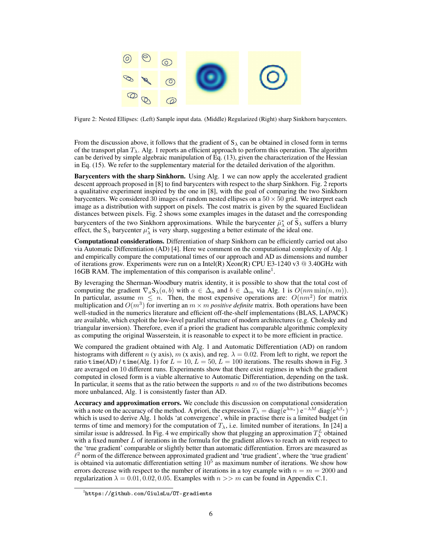

Figure 2: Nested Ellipses: (Left) Sample input data. (Middle) Regularized (Right) sharp Sinkhorn barycenters.

From the discussion above, it follows that the gradient of  $S_\lambda$  can be obtained in closed form in terms of the transport plan  $T_{\lambda}$ . Alg. 1 reports an efficient approach to perform this operation. The algorithm can be derived by simple algebraic manipulation of Eq. (13), given the characterization of the Hessian in Eq. (15). We refer to the supplementary material for the detailed derivation of the algorithm.

Barycenters with the sharp Sinkhorn. Using Alg. 1 we can now apply the accelerated gradient descent approach proposed in [8] to find barycenters with respect to the sharp Sinkhorn. Fig. 2 reports a qualitative experiment inspired by the one in [8], with the goal of comparing the two Sinkhorn barycenters. We considered 30 images of random nested ellipses on a  $50 \times 50$  grid. We interpret each image as a distribution with support on pixels. The cost matrix is given by the squared Euclidean distances between pixels. Fig. 2 shows some examples images in the dataset and the corresponding barycenters of the two Sinkhorn approximations. While the barycenter  $\tilde{\mu}^*_{\lambda}$  of  $S_{\lambda}$  suffers a blurry effect, the S<sub> $\lambda$ </sub> barycenter  $\mu^*_{\lambda}$  is very sharp, suggesting a better estimate of the ideal one.

Computational considerations. Differentiation of sharp Sinkhorn can be efficiently carried out also via Automatic Differentiation (AD) [4]. Here we comment on the computational complexity of Alg. 1 and empirically compare the computational times of our approach and AD as dimensions and number of iterations grow. Experiments were run on a Intel(R) Xeon(R) CPU E3-1240 v3  $@$  3.40GHz with 16GB RAM. The implementation of this comparison is available online<sup>1</sup> .

By leveraging the Sherman-Woodbury matrix identity, it is possible to show that the total cost of computing the gradient  $\nabla_a S_\lambda(a, b)$  with  $a \in \Delta_n$  and  $b \in \Delta_m$  via Alg. 1 is  $O(nm \min(n, m))$ . In particular, assume  $m \leq n$ . Then, the most expensive operations are:  $O(nm^2)$  for matrix multiplication and  $O(m^3)$  for inverting an  $m \times m$  *positive definite* matrix. Both operations have been well-studied in the numerics literature and efficient off-the-shelf implementations (BLAS, LAPACK) are available, which exploit the low-level parallel structure of modern architectures (e.g. Cholesky and triangular inversion). Therefore, even if a priori the gradient has comparable algorithmic complexity as computing the original Wasserstein, it is reasonable to expect it to be more efficient in practice.

We compared the gradient obtained with Alg. 1 and Automatic Differentiation (AD) on random histograms with different n (y axis), m (x axis), and reg.  $\lambda = 0.02$ . From left to right, we report the ratio time(AD) / time(Alg. 1) for  $L = 10$ ,  $L = 50$ ,  $L = 100$  iterations. The results shown in Fig. 3 are averaged on 10 different runs. Experiments show that there exist regimes in which the gradient computed in closed form is a viable alternative to Automatic Differentiation, depending on the task. In particular, it seems that as the ratio between the supports  $n$  and  $m$  of the two distributions becomes more unbalanced, Alg. 1 is consistently faster than AD.

Accuracy and approximation errors. We conclude this discussion on computational consideration with a note on the accuracy of the method. A priori, the expression  $T_{\lambda} = \text{diag}(e^{\lambda \alpha_*}) e^{-\lambda M} \text{diag}(e^{\lambda \beta_*})$ which is used to derive Alg. 1 holds 'at convergence', while in practise there is a limited budget (in terms of time and memory) for the computation of  $T_{\lambda}$ , i.e. limited number of iterations. In [24] a similar issue is addressed. In Fig. 4 we empirically show that plugging an approximation  $T^L_\lambda$  obtained with a fixed number L of iterations in the formula for the gradient allows to reach an with respect to the 'true gradient' comparable or slightly better than automatic differentiation. Errors are measured as  $\ell^2$  norm of the difference between approximated gradient and 'true gradient', where the 'true gradient' is obtained via automatic differentiation setting  $10<sup>5</sup>$  as maximum number of iterations. We show how errors decrease with respect to the number of iterations in a toy example with  $n = m = 2000$  and regularization  $\lambda = 0.01, 0.02, 0.05$ . Examples with  $n >> m$  can be found in Appendix C.1.

<sup>1</sup> https://github.com/GiulsLu/OT-gradients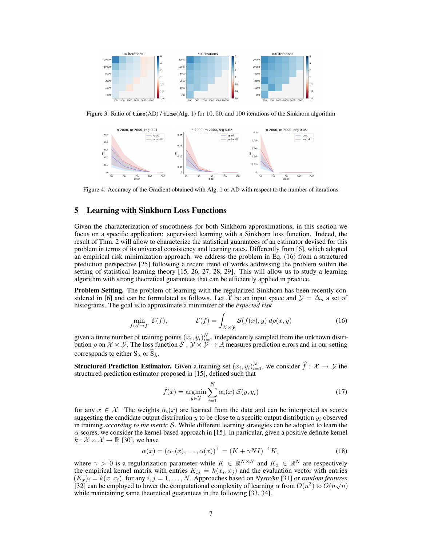

Figure 3: Ratio of time(AD) / time(Alg. 1) for 10, 50, and 100 iterations of the Sinkhorn algorithm



Figure 4: Accuracy of the Gradient obtained with Alg. 1 or AD with respect to the number of iterations

### 5 Learning with Sinkhorn Loss Functions

Given the characterization of smoothness for both Sinkhorn approximations, in this section we focus on a specific application: supervised learning with a Sinkhorn loss function. Indeed, the result of Thm. 2 will allow to characterize the statistical guarantees of an estimator devised for this problem in terms of its universal consistency and learning rates. Differently from [6], which adopted an empirical risk minimization approach, we address the problem in Eq. (16) from a structured prediction perspective [25] following a recent trend of works addressing the problem within the setting of statistical learning theory [15, 26, 27, 28, 29]. This will allow us to study a learning algorithm with strong theoretical guarantees that can be efficiently applied in practice.

Problem Setting. The problem of learning with the regularized Sinkhorn has been recently considered in [6] and can be formulated as follows. Let X be an input space and  $\mathcal{Y} = \Delta_n$  a set of histograms. The goal is to approximate a minimizer of the *expected risk*

$$
\min_{f:\mathcal{X}\to\mathcal{Y}} \mathcal{E}(f), \qquad \qquad \mathcal{E}(f) = \int_{\mathcal{X}\times\mathcal{Y}} \mathcal{S}(f(x), y) \, d\rho(x, y) \tag{16}
$$

given a finite number of training points  $(x_i, y_i)_{i=1}^N$  independently sampled from the unknown distribution  $\rho$  on  $\mathcal{X} \times \mathcal{Y}$ . The loss function  $\mathcal{S} : \mathcal{Y} \times \mathcal{Y} \to \mathbb{R}$  measures prediction errors and in our setting corresponds to either  $S_{\lambda}$  or  $\widetilde{S}_{\lambda}$ .

**Structured Prediction Estimator.** Given a training set  $(x_i, y_i)_{i=1}^N$ , we consider  $\hat{f} : \mathcal{X} \to \mathcal{Y}$  the structured prediction estimator proposed in [15], defined such that

$$
\hat{f}(x) = \underset{y \in \mathcal{Y}}{\operatorname{argmin}} \sum_{i=1}^{N} \alpha_i(x) \; \mathcal{S}(y, y_i) \tag{17}
$$

for any  $x \in \mathcal{X}$ . The weights  $\alpha_i(x)$  are learned from the data and can be interpreted as scores suggesting the candidate output distribution  $\gamma$  to be close to a specific output distribution  $\gamma_i$  observed in training *according to the metric* S. While different learning strategies can be adopted to learn the  $\alpha$  scores, we consider the kernel-based approach in [15]. In particular, given a positive definite kernel  $k : \mathcal{X} \times \mathcal{X} \rightarrow \mathbb{R}$  [30], we have

$$
\alpha(x) = (\alpha_1(x), \dots, \alpha(x))^{\top} = (K + \gamma NI)^{-1} K_x \tag{18}
$$

where  $\gamma > 0$  is a regularization parameter while  $K \in \mathbb{R}^{N \times N}$  and  $K_x \in \mathbb{R}^N$  are respectively the empirical kernel matrix with entries  $K_{ij} = k(x_i, x_j)$  and the evaluation vector with entries  $(K_x)_i = k(x, x_i)$ , for any  $i, j = 1, ..., N$ . Approaches based on *Nyström* [31] or *random features* [32] can be employed to lower the computational complexity of learning  $\alpha$  from  $O(n^3)$  to  $O(n\sqrt{n})$ while maintaining same theoretical guarantees in the following [33, 34].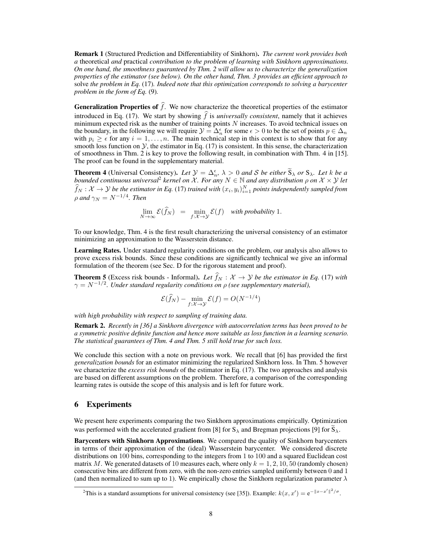Remark 1 (Structured Prediction and Differentiability of Sinkhorn). *The current work provides both a* theoretical *and* practical *contribution to the problem of learning with Sinkhorn approximations. On one hand, the smoothness guaranteed by Thm. 2 will allow us to characterize the generalization properties of the estimator (see below). On the other hand, Thm. 3 provides an efficient approach to* solve *the problem in Eq.* (17)*. Indeed note that this optimization corresponds to solving a barycenter problem in the form of Eq.* (9)*.*

**Generalization Properties of**  $\hat{f}$ . We now characterize the theoretical properties of the estimator introduced in Eq. (17). We start by showing  $\hat{f}$  is *universally consistent*, namely that it achieves minimum expected risk as the number of training points  $N$  increases. To avoid technical issues on the boundary, in the following we will require  $\mathcal{Y} = \Delta_n^{\epsilon}$  for some  $\epsilon > 0$  to be the set of points  $p \in \Delta_n$ with  $p_i \geq \epsilon$  for any  $i = 1, \ldots, n$ . The main technical step in this context is to show that for any smooth loss function on  $\mathcal{Y}$ , the estimator in Eq. (17) is consistent. In this sense, the characterization of smoothness in Thm. 2 is key to prove the following result, in combination with Thm. 4 in [15]. The proof can be found in the supplementary material.

**Theorem 4** (Universal Consistency). Let  $\mathcal{Y} = \Delta_n^{\epsilon}$ ,  $\lambda > 0$  and S be either  $\tilde{S}_{\lambda}$  or  $S_{\lambda}$ . Let k be a *bounded continuous universal<sup>2</sup> kernel on X. For any*  $N ∈ ℕ$  *and any distribution*  $ρ$  *on*  $X × Y$  *let*  $f_N: X \to Y$  be the estimator in Eq. (17) trained with  $(x_i, y_i)_{i=1}^N$  points independently sampled from  $\rho$  and  $\gamma_N = N^{-1/4}$ . Then

$$
\lim_{N \to \infty} \mathcal{E}(\widehat{f}_N) = \min_{f: \mathcal{X} \to \mathcal{Y}} \mathcal{E}(f) \quad \text{with probability 1.}
$$

To our knowledge, Thm. 4 is the first result characterizing the universal consistency of an estimator minimizing an approximation to the Wasserstein distance.

Learning Rates. Under standard regularity conditions on the problem, our analysis also allows to prove excess risk bounds. Since these conditions are significantly technical we give an informal formulation of the theorem (see Sec. D for the rigorous statement and proof).

**Theorem 5** (Excess risk bounds - Informal). *Let*  $f_N : \mathcal{X} \to \mathcal{Y}$  *be the estimator in Eq.* (17) *with*  $\gamma = N^{-1/2}$ *. Under standard regularity conditions on*  $\rho$  *(see supplementary material),* 

$$
\mathcal{E}(\widehat{f}_N) - \min_{f: \mathcal{X} \to \mathcal{Y}} \mathcal{E}(f) = O(N^{-1/4})
$$

*with high probability with respect to sampling of training data.*

Remark 2. *Recently in [36] a Sinkhorn divergence with autocorrelation terms has been proved to be a symmetric positive definite function and hence more suitable as loss function in a learning scenario. The statistical guarantees of Thm. 4 and Thm. 5 still hold true for such loss.*

We conclude this section with a note on previous work. We recall that [6] has provided the first *generalization bounds* for an estimator minimizing the regularized Sinkhorn loss. In Thm. 5 however we characterize the *excess risk bounds* of the estimator in Eq. (17). The two approaches and analysis are based on different assumptions on the problem. Therefore, a comparison of the corresponding learning rates is outside the scope of this analysis and is left for future work.

### 6 Experiments

We present here experiments comparing the two Sinkhorn approximations empirically. Optimization was performed with the accelerated gradient from [8] for  $S_\lambda$  and Bregman projections [9] for  $S_\lambda$ .

Barycenters with Sinkhorn Approximations. We compared the quality of Sinkhorn barycenters in terms of their approximation of the (ideal) Wasserstein barycenter. We considered discrete distributions on 100 bins, corresponding to the integers from 1 to 100 and a squared Euclidean cost matrix M. We generated datasets of 10 measures each, where only  $k = 1, 2, 10, 50$  (randomly chosen) consecutive bins are different from zero, with the non-zero entries sampled uniformly between 0 and 1 (and then normalized to sum up to 1). We empirically chose the Sinkhorn regularization parameter  $\lambda$ 

<sup>&</sup>lt;sup>2</sup>This is a standard assumptions for universal consistency (see [35]). Example:  $k(x, x') = e^{-||x - x'||^2/\sigma}$ .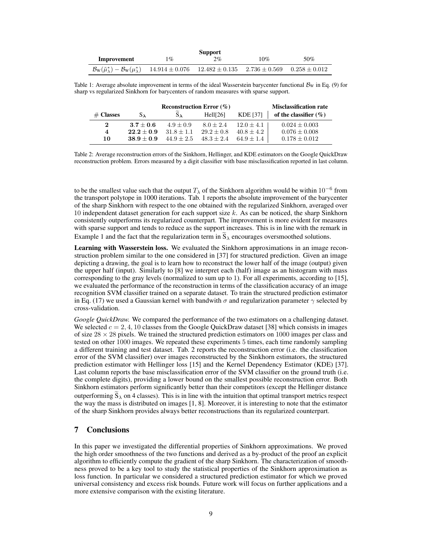| <b>Support</b>                                                                                                                                  |       |    |     |     |  |  |  |
|-------------------------------------------------------------------------------------------------------------------------------------------------|-------|----|-----|-----|--|--|--|
| Improvement                                                                                                                                     | $1\%$ | 2% | 10% | 50% |  |  |  |
| $\mathcal{B}_{\rm W}(\tilde{\mu}_{\lambda}^*) - \mathcal{B}_{\rm W}(\mu_{\lambda}^*)$ 14.914 ± 0.076 12.482 ± 0.135 2.736 ± 0.569 0.258 ± 0.012 |       |    |     |     |  |  |  |

Table 1: Average absolute improvement in terms of the ideal Wasserstein barycenter functional  $B<sub>W</sub>$  in Eq. (9) for sharp vs regularized Sinkhorn for barycenters of random measures with sparse support.

|             | Reconstruction Error $(\%)$ | <b>Misclassification rate</b> |              |              |                          |
|-------------|-----------------------------|-------------------------------|--------------|--------------|--------------------------|
| $#$ Classes | $S_{\lambda}$               | $S_{\lambda}$                 | HeII[26]     | KDE [37]     | of the classifier $(\%)$ |
| $\bf{2}$    | $3.7 + 0.6$                 | $4.9 + 0.9$                   | $8.0 + 2.4$  | $12.0 + 4.1$ | $0.024 + 0.003$          |
| 4           | $22.2 + 0.9$                | $31.8 + 1.1$                  | $29.2 + 0.8$ | $40.8 + 4.2$ | $0.076 \pm 0.008$        |
| 10          | $38.9 + 0.9$                | $44.9 + 2.5$                  | $48.3 + 2.4$ | $64.9 + 1.4$ | $0.178 \pm 0.012$        |

Table 2: Average reconstruction errors of the Sinkhorn, Hellinger, and KDE estimators on the Google QuickDraw reconstruction problem. Errors measured by a digit classifier with base misclassification reported in last column.

to be the smallest value such that the output  $T_{\lambda}$  of the Sinkhorn algorithm would be within  $10^{-6}$  from the transport polytope in 1000 iterations. Tab. 1 reports the absolute improvement of the barycenter of the sharp Sinkhorn with respect to the one obtained with the regularized Sinkhorn, averaged over 10 independent dataset generation for each support size  $k$ . As can be noticed, the sharp Sinkhorn consistently outperforms its regularized counterpart. The improvement is more evident for measures with sparse support and tends to reduce as the support increases. This is in line with the remark in Example 1 and the fact that the regularization term in  $S_\lambda$  encourages oversmoothed solutions.

Learning with Wasserstein loss. We evaluated the Sinkhorn approximations in an image reconstruction problem similar to the one considered in [37] for structured prediction. Given an image depicting a drawing, the goal is to learn how to reconstruct the lower half of the image (output) given the upper half (input). Similarly to [8] we interpret each (half) image as an histogram with mass corresponding to the gray levels (normalized to sum up to 1). For all experiments, according to [15], we evaluated the performance of the reconstruction in terms of the classification accuracy of an image recognition SVM classifier trained on a separate dataset. To train the structured prediction estimator in Eq. (17) we used a Gaussian kernel with bandwith  $\sigma$  and regularization parameter  $\gamma$  selected by cross-validation.

*Google QuickDraw.* We compared the performance of the two estimators on a challenging dataset. We selected  $c = 2, 4, 10$  classes from the Google QuickDraw dataset [38] which consists in images of size  $28 \times 28$  pixels. We trained the structured prediction estimators on 1000 images per class and tested on other 1000 images. We repeated these experiments 5 times, each time randomly sampling a different training and test dataset. Tab. 2 reports the reconstruction error (i.e. the classification error of the SVM classifier) over images reconstructed by the Sinkhorn estimators, the structured prediction estimator with Hellinger loss [15] and the Kernel Dependency Estimator (KDE) [37]. Last column reports the base misclassification error of the SVM classifier on the ground truth (i.e. the complete digits), providing a lower bound on the smallest possible reconstruction error. Both Sinkhorn estimators perform significantly better than their competitors (except the Hellinger distance outperforming  $\bar{S}_{\lambda}$  on 4 classes). This is in line with the intuition that optimal transport metrics respect the way the mass is distributed on images [1, 8]. Moreover, it is interesting to note that the estimator of the sharp Sinkhorn provides always better reconstructions than its regularized counterpart.

# 7 Conclusions

In this paper we investigated the differential properties of Sinkhorn approximations. We proved the high order smoothness of the two functions and derived as a by-product of the proof an explicit algorithm to efficiently compute the gradient of the sharp Sinkhorn. The characterization of smoothness proved to be a key tool to study the statistical properties of the Sinkhorn approximation as loss function. In particular we considered a structured prediction estimator for which we proved universal consistency and excess risk bounds. Future work will focus on further applications and a more extensive comparison with the existing literature.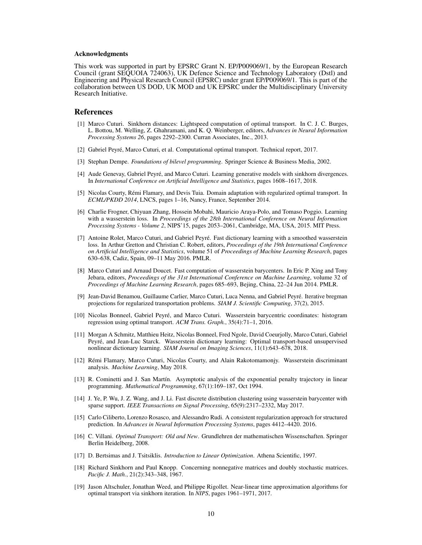#### Acknowledgments

This work was supported in part by EPSRC Grant N. EP/P009069/1, by the European Research Council (grant SEQUOIA 724063), UK Defence Science and Technology Laboratory (Dstl) and Engineering and Physical Research Council (EPSRC) under grant EP/P009069/1. This is part of the collaboration between US DOD, UK MOD and UK EPSRC under the Multidisciplinary University Research Initiative.

#### References

- [1] Marco Cuturi. Sinkhorn distances: Lightspeed computation of optimal transport. In C. J. C. Burges, L. Bottou, M. Welling, Z. Ghahramani, and K. Q. Weinberger, editors, *Advances in Neural Information Processing Systems 26*, pages 2292–2300. Curran Associates, Inc., 2013.
- [2] Gabriel Peyré, Marco Cuturi, et al. Computational optimal transport. Technical report, 2017.
- [3] Stephan Dempe. *Foundations of bilevel programming*. Springer Science & Business Media, 2002.
- [4] Aude Genevay, Gabriel Peyré, and Marco Cuturi. Learning generative models with sinkhorn divergences. In *International Conference on Artificial Intelligence and Statistics*, pages 1608–1617, 2018.
- [5] Nicolas Courty, Rémi Flamary, and Devis Tuia. Domain adaptation with regularized optimal transport. In *ECML/PKDD 2014*, LNCS, pages 1–16, Nancy, France, September 2014.
- [6] Charlie Frogner, Chiyuan Zhang, Hossein Mobahi, Mauricio Araya-Polo, and Tomaso Poggio. Learning with a wasserstein loss. In *Proceedings of the 28th International Conference on Neural Information Processing Systems - Volume 2*, NIPS'15, pages 2053–2061, Cambridge, MA, USA, 2015. MIT Press.
- [7] Antoine Rolet, Marco Cuturi, and Gabriel Peyré. Fast dictionary learning with a smoothed wasserstein loss. In Arthur Gretton and Christian C. Robert, editors, *Proceedings of the 19th International Conference on Artificial Intelligence and Statistics*, volume 51 of *Proceedings of Machine Learning Research*, pages 630–638, Cadiz, Spain, 09–11 May 2016. PMLR.
- [8] Marco Cuturi and Arnaud Doucet. Fast computation of wasserstein barycenters. In Eric P. Xing and Tony Jebara, editors, *Proceedings of the 31st International Conference on Machine Learning*, volume 32 of *Proceedings of Machine Learning Research*, pages 685–693, Bejing, China, 22–24 Jun 2014. PMLR.
- [9] Jean-David Benamou, Guillaume Carlier, Marco Cuturi, Luca Nenna, and Gabriel Peyré. Iterative bregman projections for regularized transportation problems. *SIAM J. Scientific Computing*, 37(2), 2015.
- [10] Nicolas Bonneel, Gabriel Peyré, and Marco Cuturi. Wasserstein barycentric coordinates: histogram regression using optimal transport. *ACM Trans. Graph.*, 35(4):71–1, 2016.
- [11] Morgan A Schmitz, Matthieu Heitz, Nicolas Bonneel, Fred Ngole, David Coeurjolly, Marco Cuturi, Gabriel Peyré, and Jean-Luc Starck. Wasserstein dictionary learning: Optimal transport-based unsupervised nonlinear dictionary learning. *SIAM Journal on Imaging Sciences*, 11(1):643–678, 2018.
- [12] Rémi Flamary, Marco Cuturi, Nicolas Courty, and Alain Rakotomamonjy. Wasserstein discriminant analysis. *Machine Learning*, May 2018.
- [13] R. Cominetti and J. San Martín. Asymptotic analysis of the exponential penalty trajectory in linear programming. *Mathematical Programming*, 67(1):169–187, Oct 1994.
- [14] J. Ye, P. Wu, J. Z. Wang, and J. Li. Fast discrete distribution clustering using wasserstein barycenter with sparse support. *IEEE Transactions on Signal Processing*, 65(9):2317–2332, May 2017.
- [15] Carlo Ciliberto, Lorenzo Rosasco, and Alessandro Rudi. A consistent regularization approach for structured prediction. In *Advances in Neural Information Processing Systems*, pages 4412–4420. 2016.
- [16] C. Villani. *Optimal Transport: Old and New*. Grundlehren der mathematischen Wissenschaften. Springer Berlin Heidelberg, 2008.
- [17] D. Bertsimas and J. Tsitsiklis. *Introduction to Linear Optimization*. Athena Scientific, 1997.
- [18] Richard Sinkhorn and Paul Knopp. Concerning nonnegative matrices and doubly stochastic matrices. *Pacific J. Math.*, 21(2):343–348, 1967.
- [19] Jason Altschuler, Jonathan Weed, and Philippe Rigollet. Near-linear time approximation algorithms for optimal transport via sinkhorn iteration. In *NIPS*, pages 1961–1971, 2017.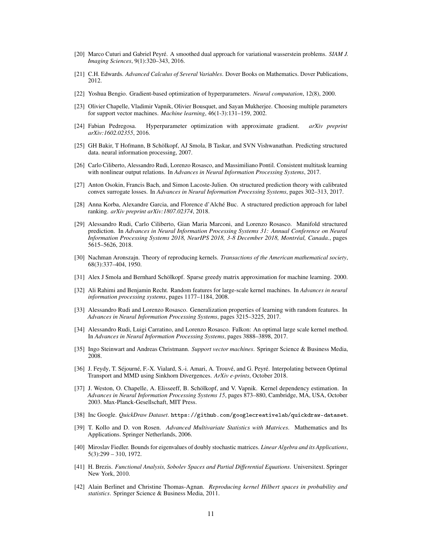- [20] Marco Cuturi and Gabriel Peyré. A smoothed dual approach for variational wasserstein problems. *SIAM J. Imaging Sciences*, 9(1):320–343, 2016.
- [21] C.H. Edwards. *Advanced Calculus of Several Variables*. Dover Books on Mathematics. Dover Publications, 2012.
- [22] Yoshua Bengio. Gradient-based optimization of hyperparameters. *Neural computation*, 12(8), 2000.
- [23] Olivier Chapelle, Vladimir Vapnik, Olivier Bousquet, and Sayan Mukherjee. Choosing multiple parameters for support vector machines. *Machine learning*, 46(1-3):131–159, 2002.
- [24] Fabian Pedregosa. Hyperparameter optimization with approximate gradient. *arXiv preprint arXiv:1602.02355*, 2016.
- [25] GH Bakir, T Hofmann, B Schölkopf, AJ Smola, B Taskar, and SVN Vishwanathan. Predicting structured data. neural information processing, 2007.
- [26] Carlo Ciliberto, Alessandro Rudi, Lorenzo Rosasco, and Massimiliano Pontil. Consistent multitask learning with nonlinear output relations. In *Advances in Neural Information Processing Systems*, 2017.
- [27] Anton Osokin, Francis Bach, and Simon Lacoste-Julien. On structured prediction theory with calibrated convex surrogate losses. In *Advances in Neural Information Processing Systems*, pages 302–313, 2017.
- [28] Anna Korba, Alexandre Garcia, and Florence d'Alché Buc. A structured prediction approach for label ranking. *arXiv preprint arXiv:1807.02374*, 2018.
- [29] Alessandro Rudi, Carlo Ciliberto, Gian Maria Marconi, and Lorenzo Rosasco. Manifold structured prediction. In *Advances in Neural Information Processing Systems 31: Annual Conference on Neural Information Processing Systems 2018, NeurIPS 2018, 3-8 December 2018, Montréal, Canada.*, pages 5615–5626, 2018.
- [30] Nachman Aronszajn. Theory of reproducing kernels. *Transactions of the American mathematical society*, 68(3):337–404, 1950.
- [31] Alex J Smola and Bernhard Schölkopf. Sparse greedy matrix approximation for machine learning. 2000.
- [32] Ali Rahimi and Benjamin Recht. Random features for large-scale kernel machines. In *Advances in neural information processing systems*, pages 1177–1184, 2008.
- [33] Alessandro Rudi and Lorenzo Rosasco. Generalization properties of learning with random features. In *Advances in Neural Information Processing Systems*, pages 3215–3225, 2017.
- [34] Alessandro Rudi, Luigi Carratino, and Lorenzo Rosasco. Falkon: An optimal large scale kernel method. In *Advances in Neural Information Processing Systems*, pages 3888–3898, 2017.
- [35] Ingo Steinwart and Andreas Christmann. *Support vector machines*. Springer Science & Business Media, 2008.
- [36] J. Feydy, T. Séjourné, F.-X. Vialard, S.-i. Amari, A. Trouvé, and G. Peyré. Interpolating between Optimal Transport and MMD using Sinkhorn Divergences. *ArXiv e-prints*, October 2018.
- [37] J. Weston, O. Chapelle, A. Elisseeff, B. Schölkopf, and V. Vapnik. Kernel dependency estimation. In *Advances in Neural Information Processing Systems 15*, pages 873–880, Cambridge, MA, USA, October 2003. Max-Planck-Gesellschaft, MIT Press.
- [38] Inc Google. *QuickDraw Dataset*. https://github.com/googlecreativelab/quickdraw-dataset.
- [39] T. Kollo and D. von Rosen. *Advanced Multivariate Statistics with Matrices*. Mathematics and Its Applications. Springer Netherlands, 2006.
- [40] Miroslav Fiedler. Bounds for eigenvalues of doubly stochastic matrices. *Linear Algebra and its Applications*, 5(3):299 – 310, 1972.
- [41] H. Brezis. *Functional Analysis, Sobolev Spaces and Partial Differential Equations*. Universitext. Springer New York, 2010.
- [42] Alain Berlinet and Christine Thomas-Agnan. *Reproducing kernel Hilbert spaces in probability and statistics*. Springer Science & Business Media, 2011.